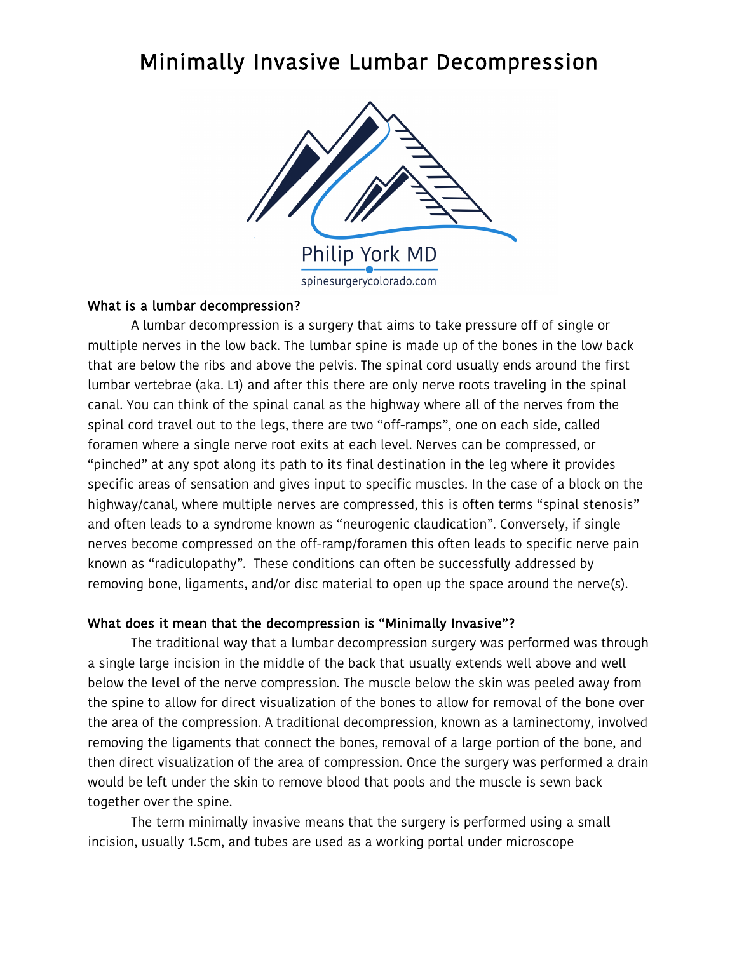# Minimally Invasive Lumbar Decompression



#### What is a lumbar decompression?

 A lumbar decompression is a surgery that aims to take pressure off of single or multiple nerves in the low back. The lumbar spine is made up of the bones in the low back that are below the ribs and above the pelvis. The spinal cord usually ends around the first lumbar vertebrae (aka. L1) and after this there are only nerve roots traveling in the spinal canal. You can think of the spinal canal as the highway where all of the nerves from the spinal cord travel out to the legs, there are two "off-ramps", one on each side, called foramen where a single nerve root exits at each level. Nerves can be compressed, or "pinched" at any spot along its path to its final destination in the leg where it provides specific areas of sensation and gives input to specific muscles. In the case of a block on the highway/canal, where multiple nerves are compressed, this is often terms "spinal stenosis" and often leads to a syndrome known as "neurogenic claudication". Conversely, if single nerves become compressed on the off-ramp/foramen this often leads to specific nerve pain known as "radiculopathy". These conditions can often be successfully addressed by removing bone, ligaments, and/or disc material to open up the space around the nerve(s).

# What does it mean that the decompression is "Minimally Invasive"?

 The traditional way that a lumbar decompression surgery was performed was through a single large incision in the middle of the back that usually extends well above and well below the level of the nerve compression. The muscle below the skin was peeled away from the spine to allow for direct visualization of the bones to allow for removal of the bone over the area of the compression. A traditional decompression, known as a laminectomy, involved removing the ligaments that connect the bones, removal of a large portion of the bone, and then direct visualization of the area of compression. Once the surgery was performed a drain would be left under the skin to remove blood that pools and the muscle is sewn back together over the spine.

 The term minimally invasive means that the surgery is performed using a small incision, usually 1.5cm, and tubes are used as a working portal under microscope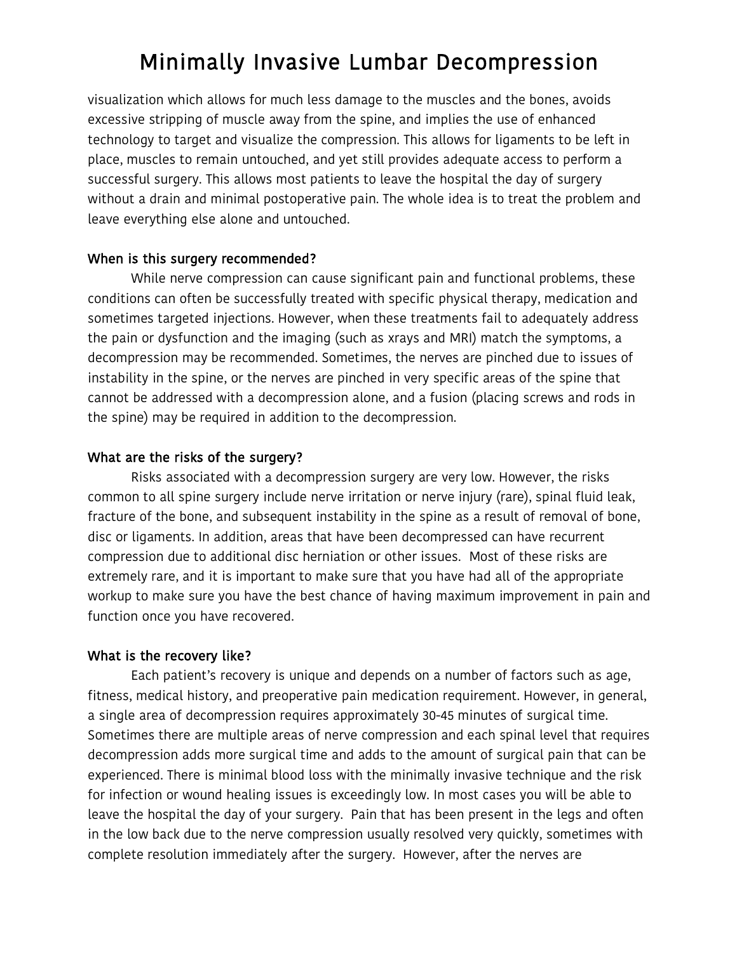# Minimally Invasive Lumbar Decompression

visualization which allows for much less damage to the muscles and the bones, avoids excessive stripping of muscle away from the spine, and implies the use of enhanced technology to target and visualize the compression. This allows for ligaments to be left in place, muscles to remain untouched, and yet still provides adequate access to perform a successful surgery. This allows most patients to leave the hospital the day of surgery without a drain and minimal postoperative pain. The whole idea is to treat the problem and leave everything else alone and untouched.

#### When is this surgery recommended?

While nerve compression can cause significant pain and functional problems, these conditions can often be successfully treated with specific physical therapy, medication and sometimes targeted injections. However, when these treatments fail to adequately address the pain or dysfunction and the imaging (such as xrays and MRI) match the symptoms, a decompression may be recommended. Sometimes, the nerves are pinched due to issues of instability in the spine, or the nerves are pinched in very specific areas of the spine that cannot be addressed with a decompression alone, and a fusion (placing screws and rods in the spine) may be required in addition to the decompression.

# What are the risks of the surgery?

Risks associated with a decompression surgery are very low. However, the risks common to all spine surgery include nerve irritation or nerve injury (rare), spinal fluid leak, fracture of the bone, and subsequent instability in the spine as a result of removal of bone, disc or ligaments. In addition, areas that have been decompressed can have recurrent compression due to additional disc herniation or other issues. Most of these risks are extremely rare, and it is important to make sure that you have had all of the appropriate workup to make sure you have the best chance of having maximum improvement in pain and function once you have recovered.

# What is the recovery like?

Each patient's recovery is unique and depends on a number of factors such as age, fitness, medical history, and preoperative pain medication requirement. However, in general, a single area of decompression requires approximately 30-45 minutes of surgical time. Sometimes there are multiple areas of nerve compression and each spinal level that requires decompression adds more surgical time and adds to the amount of surgical pain that can be experienced. There is minimal blood loss with the minimally invasive technique and the risk for infection or wound healing issues is exceedingly low. In most cases you will be able to leave the hospital the day of your surgery. Pain that has been present in the legs and often in the low back due to the nerve compression usually resolved very quickly, sometimes with complete resolution immediately after the surgery. However, after the nerves are